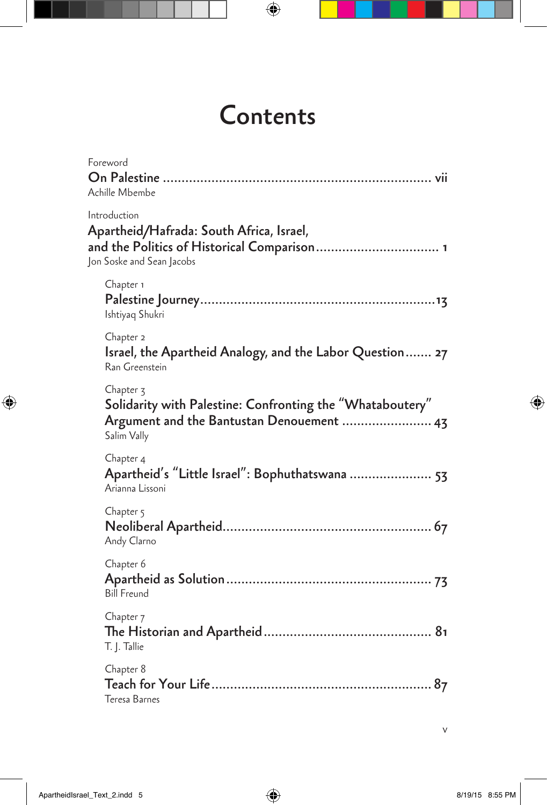## **Contents**

 $\bigoplus$ 

| Foreword<br>Achille Mbembe                                                                                                           |  |
|--------------------------------------------------------------------------------------------------------------------------------------|--|
| Introduction<br>Apartheid/Hafrada: South Africa, Israel,<br>and the Politics of Historical Comparison 1<br>Jon Soske and Sean Jacobs |  |
| Chapter 1<br>Ishtiyaq Shukri                                                                                                         |  |
| Chapter 2<br>Israel, the Apartheid Analogy, and the Labor Question 27<br>Ran Greenstein                                              |  |
| Chapter 3<br>Solidarity with Palestine: Confronting the "Whataboutery"<br>Argument and the Bantustan Denouement  43<br>Salim Vally   |  |
| Chapter 4<br>Apartheid's "Little Israel": Bophuthatswana  53<br>Arianna Lissoni                                                      |  |
| Chapter 5<br>Andy Clarno                                                                                                             |  |
| Chapter 6<br><b>Bill Freund</b>                                                                                                      |  |
| Chapter <sub>7</sub><br>T. J. Tallie                                                                                                 |  |
| Chapter 8<br>Teresa Barnes                                                                                                           |  |
|                                                                                                                                      |  |

 $\bigoplus$ 

 $\bigoplus$ 

v